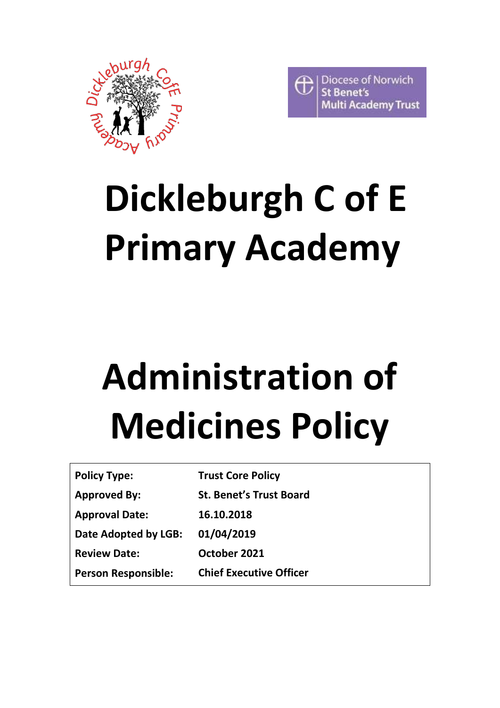



## **Dickleburgh C of E Primary Academy**

# **Administration of Medicines Policy**

| <b>Policy Type:</b>        | <b>Trust Core Policy</b>       |
|----------------------------|--------------------------------|
| <b>Approved By:</b>        | <b>St. Benet's Trust Board</b> |
| <b>Approval Date:</b>      | 16.10.2018                     |
| Date Adopted by LGB:       | 01/04/2019                     |
| <b>Review Date:</b>        | October 2021                   |
| <b>Person Responsible:</b> | <b>Chief Executive Officer</b> |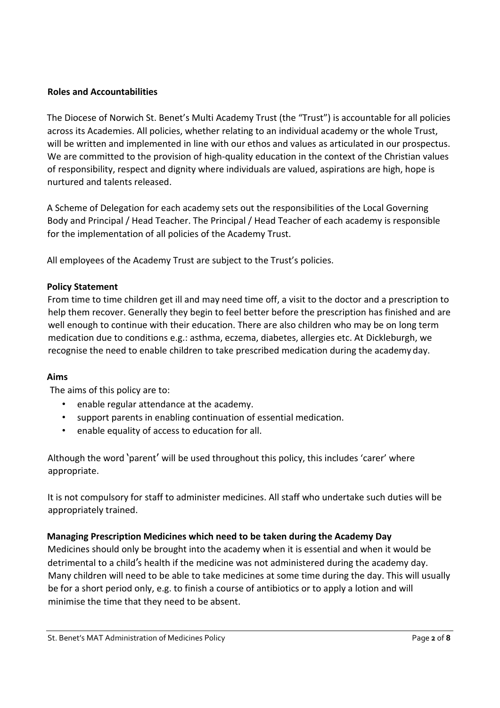#### **Roles and Accountabilities**

The Diocese of Norwich St. Benet's Multi Academy Trust (the "Trust") is accountable for all policies across its Academies. All policies, whether relating to an individual academy or the whole Trust, will be written and implemented in line with our ethos and values as articulated in our prospectus. We are committed to the provision of high-quality education in the context of the Christian values of responsibility, respect and dignity where individuals are valued, aspirations are high, hope is nurtured and talents released.

A Scheme of Delegation for each academy sets out the responsibilities of the Local Governing Body and Principal / Head Teacher. The Principal / Head Teacher of each academy is responsible for the implementation of all policies of the Academy Trust.

All employees of the Academy Trust are subject to the Trust's policies.

#### **Policy Statement**

From time to time children get ill and may need time off, a visit to the doctor and a prescription to help them recover. Generally they begin to feel better before the prescription has finished and are well enough to continue with their education. There are also children who may be on long term medication due to conditions e.g.: asthma, eczema, diabetes, allergies etc. At Dickleburgh, we recognise the need to enable children to take prescribed medication during the academy day.

#### **Aims**

The aims of this policy are to:

- enable regular attendance at the academy.
- support parents in enabling continuation of essential medication.
- enable equality of access to education for all.

Although the word 'parent' will be used throughout this policy, this includes 'carer' where appropriate.

It is not compulsory for staff to administer medicines. All staff who undertake such duties will be appropriately trained.

#### **Managing Prescription Medicines which need to be taken during the Academy Day**

Medicines should only be brought into the academy when it is essential and when it would be detrimental to a child's health if the medicine was not administered during the academy day. Many children will need to be able to take medicines at some time during the day. This will usually be for a short period only, e.g. to finish a course of antibiotics or to apply a lotion and will minimise the time that they need to be absent.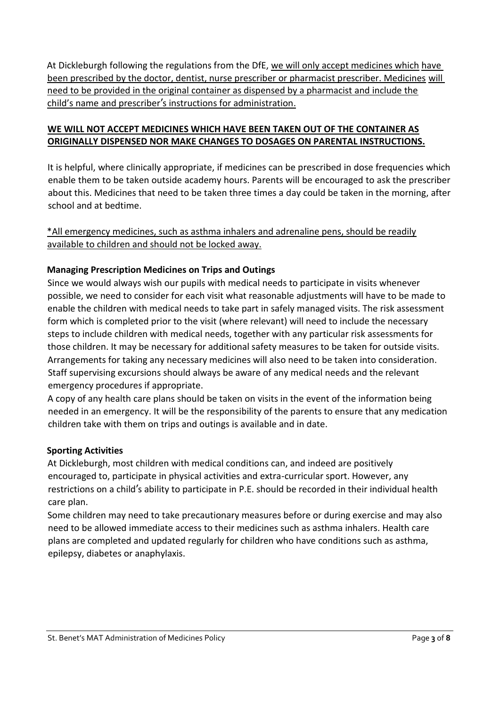At Dickleburgh following the regulations from the DfE, we will only accept medicines which have been prescribed by the doctor, dentist, nurse prescriber or pharmacist prescriber. Medicines will need to be provided in the original container as dispensed by a pharmacist and include the child's name and prescriber's instructions for administration.

## **WE WILL NOT ACCEPT MEDICINES WHICH HAVE BEEN TAKEN OUT OF THE CONTAINER AS ORIGINALLY DISPENSED NOR MAKE CHANGES TO DOSAGES ON PARENTAL INSTRUCTIONS.**

It is helpful, where clinically appropriate, if medicines can be prescribed in dose frequencies which enable them to be taken outside academy hours. Parents will be encouraged to ask the prescriber about this. Medicines that need to be taken three times a day could be taken in the morning, after school and at bedtime.

## \*All emergency medicines, such as asthma inhalers and adrenaline pens, should be readily available to children and should not be locked away.

## **Managing Prescription Medicines on Trips and Outings**

Since we would always wish our pupils with medical needs to participate in visits whenever possible, we need to consider for each visit what reasonable adjustments will have to be made to enable the children with medical needs to take part in safely managed visits. The risk assessment form which is completed prior to the visit (where relevant) will need to include the necessary steps to include children with medical needs, together with any particular risk assessments for those children. It may be necessary for additional safety measures to be taken for outside visits. Arrangements for taking any necessary medicines will also need to be taken into consideration. Staff supervising excursions should always be aware of any medical needs and the relevant emergency procedures if appropriate.

A copy of any health care plans should be taken on visits in the event of the information being needed in an emergency. It will be the responsibility of the parents to ensure that any medication children take with them on trips and outings is available and in date.

## **Sporting Activities**

At Dickleburgh, most children with medical conditions can, and indeed are positively encouraged to, participate in physical activities and extra-curricular sport. However, any restrictions on a child's ability to participate in P.E. should be recorded in their individual health care plan.

Some children may need to take precautionary measures before or during exercise and may also need to be allowed immediate access to their medicines such as asthma inhalers. Health care plans are completed and updated regularly for children who have conditions such as asthma, epilepsy, diabetes or anaphylaxis.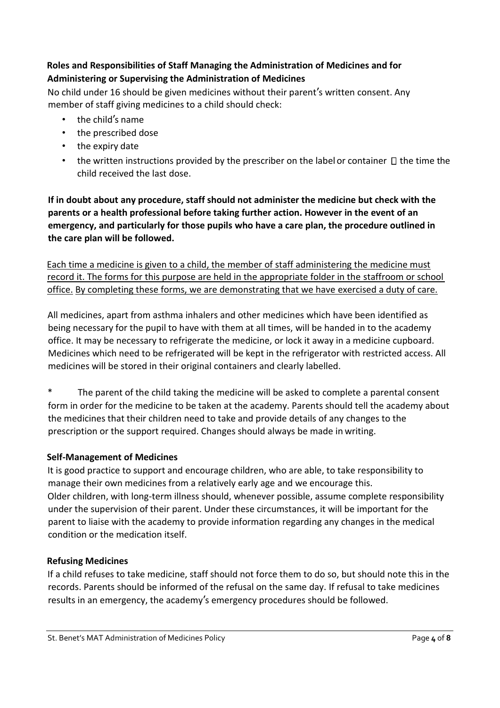## **Roles and Responsibilities of Staff Managing the Administration of Medicines and for Administering or Supervising the Administration of Medicines**

No child under 16 should be given medicines without their parent's written consent. Any member of staff giving medicines to a child should check:

- the child's name
- the prescribed dose
- the expiry date
- the written instructions provided by the prescriber on the label or container  $\Box$  the time the child received the last dose.

**If in doubt about any procedure, staff should not administer the medicine but check with the parents or a health professional before taking further action. However in the event of an emergency, and particularly for those pupils who have a care plan, the procedure outlined in the care plan will be followed.**

Each time a medicine is given to a child, the member of staff administering the medicine must record it. The forms for this purpose are held in the appropriate folder in the staffroom or school office. By completing these forms, we are demonstrating that we have exercised a duty of care.

All medicines, apart from asthma inhalers and other medicines which have been identified as being necessary for the pupil to have with them at all times, will be handed in to the academy office. It may be necessary to refrigerate the medicine, or lock it away in a medicine cupboard. Medicines which need to be refrigerated will be kept in the refrigerator with restricted access. All medicines will be stored in their original containers and clearly labelled.

The parent of the child taking the medicine will be asked to complete a parental consent form in order for the medicine to be taken at the academy. Parents should tell the academy about the medicines that their children need to take and provide details of any changes to the prescription or the support required. Changes should always be made in writing.

## **Self-Management of Medicines**

It is good practice to support and encourage children, who are able, to take responsibility to manage their own medicines from a relatively early age and we encourage this. Older children, with long-term illness should, whenever possible, assume complete responsibility under the supervision of their parent. Under these circumstances, it will be important for the parent to liaise with the academy to provide information regarding any changes in the medical condition or the medication itself.

## **Refusing Medicines**

If a child refuses to take medicine, staff should not force them to do so, but should note this in the records. Parents should be informed of the refusal on the same day. If refusal to take medicines results in an emergency, the academy's emergency procedures should be followed.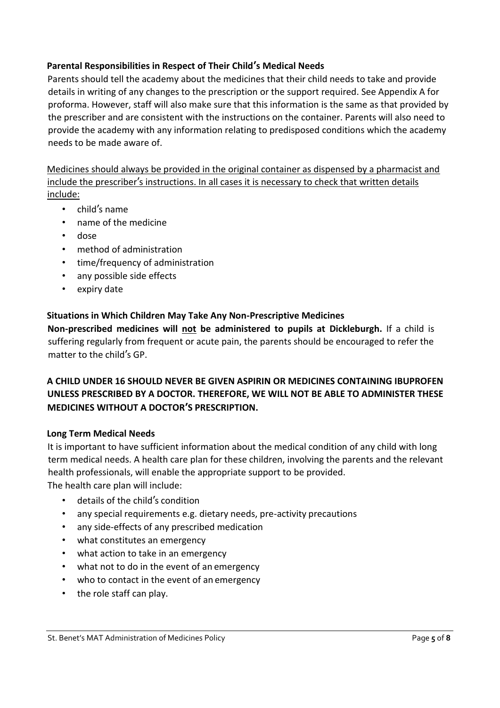## **Parental Responsibilities in Respect of Their Child's Medical Needs**

Parents should tell the academy about the medicines that their child needs to take and provide details in writing of any changes to the prescription or the support required. See Appendix A for proforma. However, staff will also make sure that this information is the same as that provided by the prescriber and are consistent with the instructions on the container. Parents will also need to provide the academy with any information relating to predisposed conditions which the academy needs to be made aware of.

Medicines should always be provided in the original container as dispensed by a pharmacist and include the prescriber's instructions. In all cases it is necessary to check that written details include:

- child's name
- name of the medicine
- dose
- method of administration
- time/frequency of administration
- any possible side effects
- expiry date

## **Situations in Which Children May Take Any Non-Prescriptive Medicines**

**Non-prescribed medicines will not be administered to pupils at Dickleburgh.** If a child is suffering regularly from frequent or acute pain, the parents should be encouraged to refer the matter to the child's GP.

## **A CHILD UNDER 16 SHOULD NEVER BE GIVEN ASPIRIN OR MEDICINES CONTAINING IBUPROFEN UNLESS PRESCRIBED BY A DOCTOR. THEREFORE, WE WILL NOT BE ABLE TO ADMINISTER THESE MEDICINES WITHOUT A DOCTOR'S PRESCRIPTION.**

#### **Long Term Medical Needs**

It is important to have sufficient information about the medical condition of any child with long term medical needs. A health care plan for these children, involving the parents and the relevant health professionals, will enable the appropriate support to be provided.

The health care plan will include:

- details of the child's condition
- any special requirements e.g. dietary needs, pre-activity precautions
- any side-effects of any prescribed medication
- what constitutes an emergency
- what action to take in an emergency
- what not to do in the event of an emergency
- who to contact in the event of an emergency
- the role staff can play.